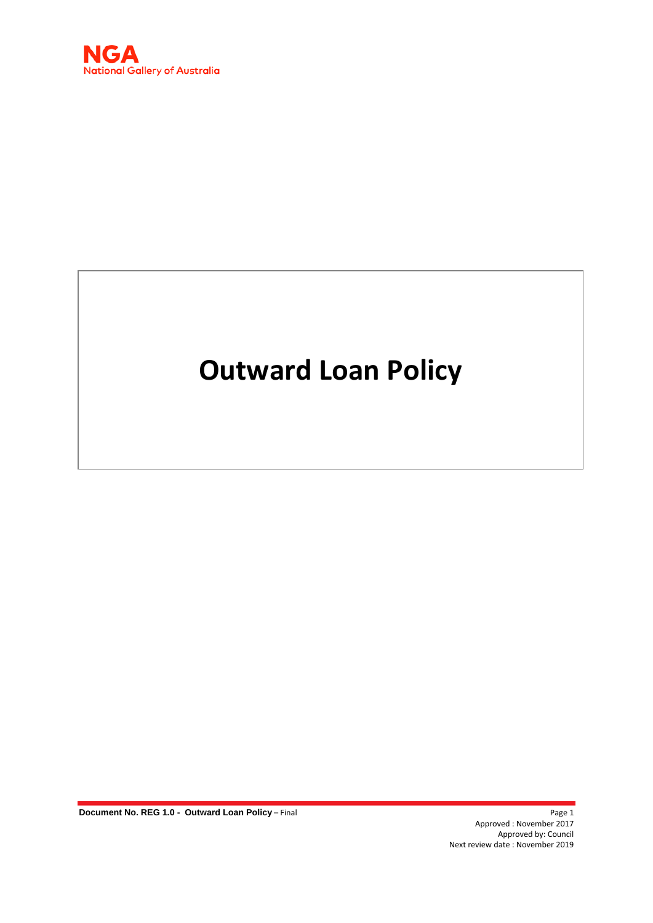

# **Outward Loan Policy**

**Document No. REG 1.0 - Outward Loan Policy – Final Page 1 Page 1** 

Approved : November 2017 Approved by: Council Next review date : November 2019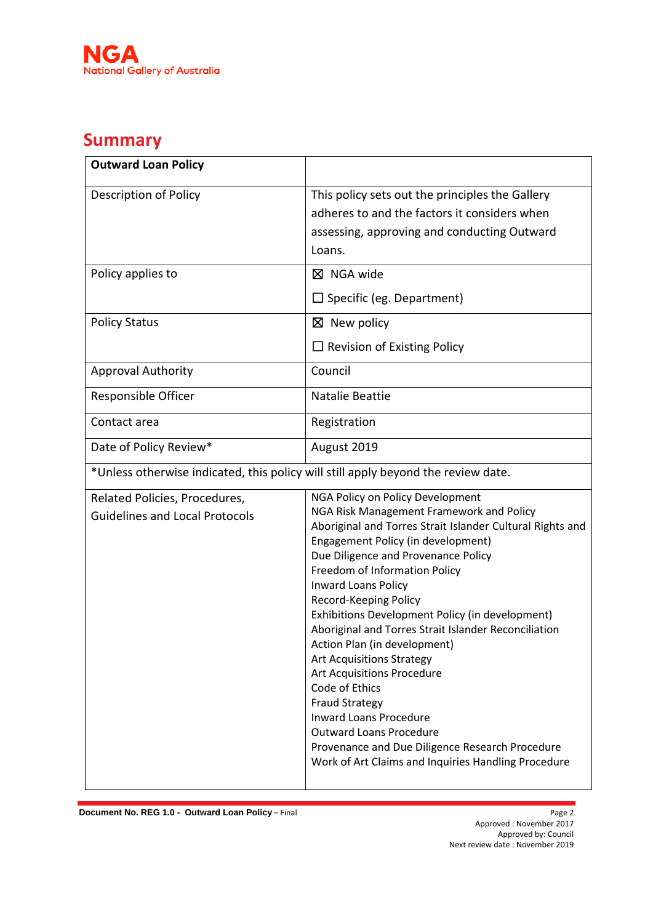

## **Summary**

| <b>Outward Loan Policy</b>                                                        |                                                                                                                                                                                                                                                                                                                                                                                                                                                                                                                                                                                                                                                                                                                                                            |  |
|-----------------------------------------------------------------------------------|------------------------------------------------------------------------------------------------------------------------------------------------------------------------------------------------------------------------------------------------------------------------------------------------------------------------------------------------------------------------------------------------------------------------------------------------------------------------------------------------------------------------------------------------------------------------------------------------------------------------------------------------------------------------------------------------------------------------------------------------------------|--|
| <b>Description of Policy</b>                                                      | This policy sets out the principles the Gallery<br>adheres to and the factors it considers when<br>assessing, approving and conducting Outward<br>Loans.                                                                                                                                                                                                                                                                                                                                                                                                                                                                                                                                                                                                   |  |
| Policy applies to                                                                 | $\boxtimes$ NGA wide<br>$\square$ Specific (eg. Department)                                                                                                                                                                                                                                                                                                                                                                                                                                                                                                                                                                                                                                                                                                |  |
| <b>Policy Status</b>                                                              | $\boxtimes$ New policy<br>$\Box$ Revision of Existing Policy                                                                                                                                                                                                                                                                                                                                                                                                                                                                                                                                                                                                                                                                                               |  |
| <b>Approval Authority</b>                                                         | Council                                                                                                                                                                                                                                                                                                                                                                                                                                                                                                                                                                                                                                                                                                                                                    |  |
| Responsible Officer                                                               | Natalie Beattie                                                                                                                                                                                                                                                                                                                                                                                                                                                                                                                                                                                                                                                                                                                                            |  |
| Contact area                                                                      | Registration                                                                                                                                                                                                                                                                                                                                                                                                                                                                                                                                                                                                                                                                                                                                               |  |
| Date of Policy Review*                                                            | August 2019                                                                                                                                                                                                                                                                                                                                                                                                                                                                                                                                                                                                                                                                                                                                                |  |
| *Unless otherwise indicated, this policy will still apply beyond the review date. |                                                                                                                                                                                                                                                                                                                                                                                                                                                                                                                                                                                                                                                                                                                                                            |  |
| Related Policies, Procedures,<br><b>Guidelines and Local Protocols</b>            | NGA Policy on Policy Development<br>NGA Risk Management Framework and Policy<br>Aboriginal and Torres Strait Islander Cultural Rights and<br>Engagement Policy (in development)<br>Due Diligence and Provenance Policy<br>Freedom of Information Policy<br><b>Inward Loans Policy</b><br>Record-Keeping Policy<br>Exhibitions Development Policy (in development)<br>Aboriginal and Torres Strait Islander Reconciliation<br>Action Plan (in development)<br><b>Art Acquisitions Strategy</b><br><b>Art Acquisitions Procedure</b><br>Code of Ethics<br><b>Fraud Strategy</b><br><b>Inward Loans Procedure</b><br><b>Outward Loans Procedure</b><br>Provenance and Due Diligence Research Procedure<br>Work of Art Claims and Inquiries Handling Procedure |  |

**Document No. REG 1.0 - Outward Loan Policy – Final**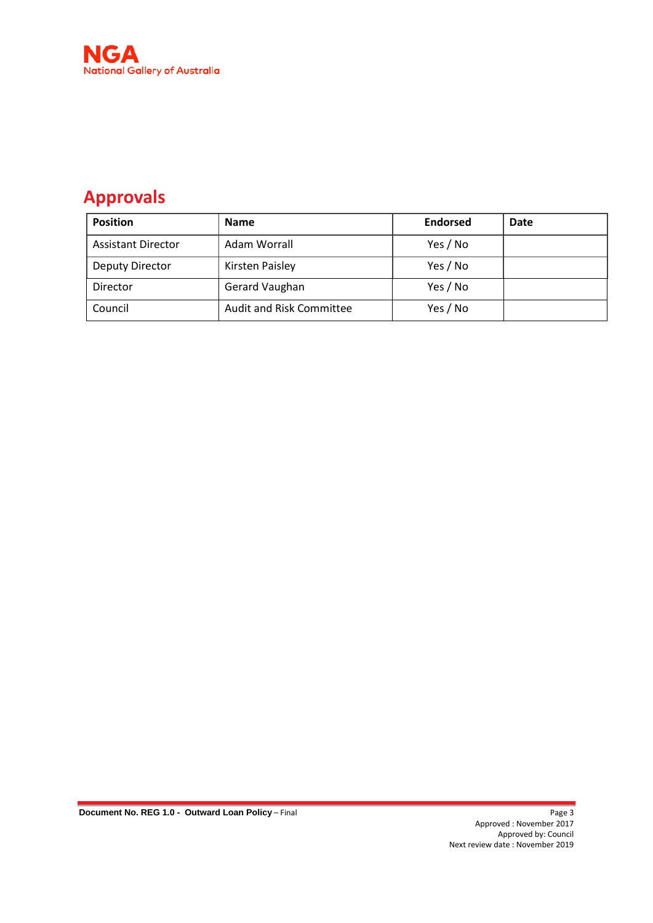

## **Approvals**

| <b>Position</b>           | <b>Name</b>                     | <b>Endorsed</b> | Date |
|---------------------------|---------------------------------|-----------------|------|
| <b>Assistant Director</b> | Adam Worrall                    | Yes / No        |      |
| <b>Deputy Director</b>    | Kirsten Paisley                 | Yes / No        |      |
| Director                  | Gerard Vaughan                  | Yes / No        |      |
| Council                   | <b>Audit and Risk Committee</b> | Yes / No        |      |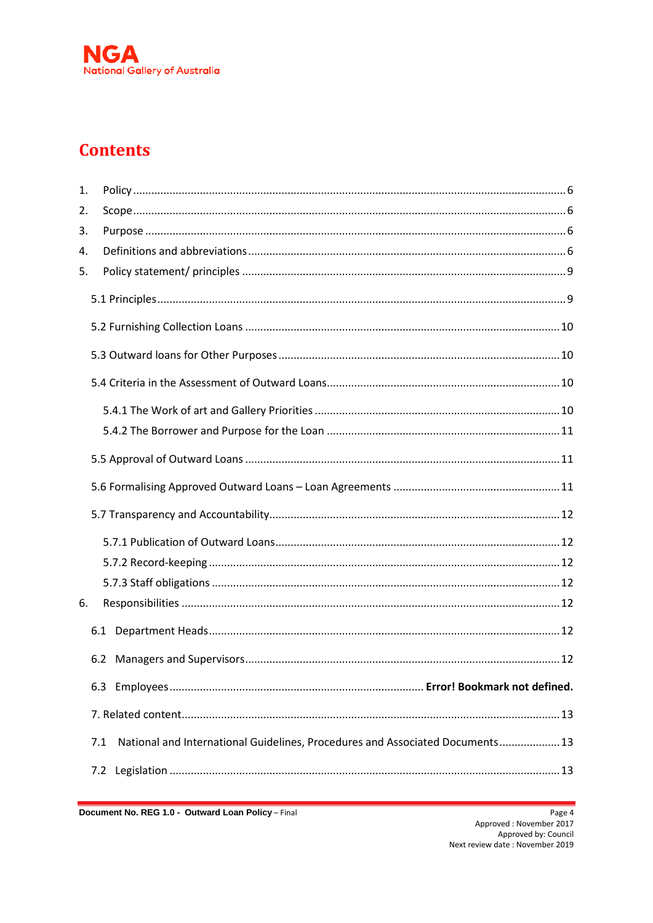

## **Contents**

| 1. |     |                                                                               |  |
|----|-----|-------------------------------------------------------------------------------|--|
| 2. |     |                                                                               |  |
| 3. |     |                                                                               |  |
| 4. |     |                                                                               |  |
| 5. |     |                                                                               |  |
|    |     |                                                                               |  |
|    |     |                                                                               |  |
|    |     |                                                                               |  |
|    |     |                                                                               |  |
|    |     |                                                                               |  |
|    |     |                                                                               |  |
|    |     |                                                                               |  |
|    |     |                                                                               |  |
|    |     |                                                                               |  |
|    |     |                                                                               |  |
|    |     |                                                                               |  |
|    |     |                                                                               |  |
| 6. |     |                                                                               |  |
|    |     |                                                                               |  |
|    |     |                                                                               |  |
|    | 6.3 |                                                                               |  |
|    |     |                                                                               |  |
|    | 7.1 | National and International Guidelines, Procedures and Associated Documents 13 |  |
|    | 7.2 |                                                                               |  |

Document No. REG 1.0 - Outward Loan Policy - Final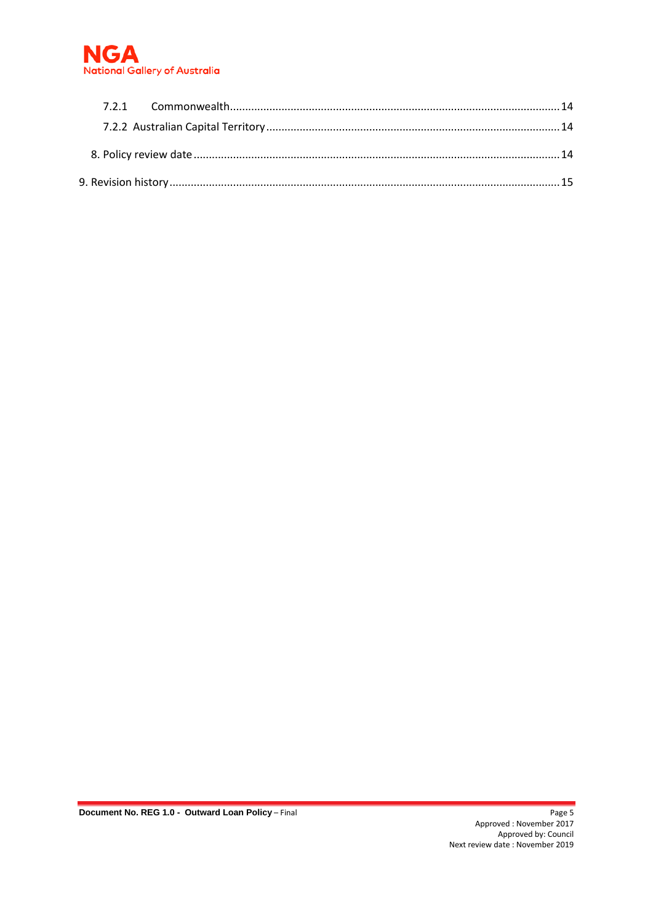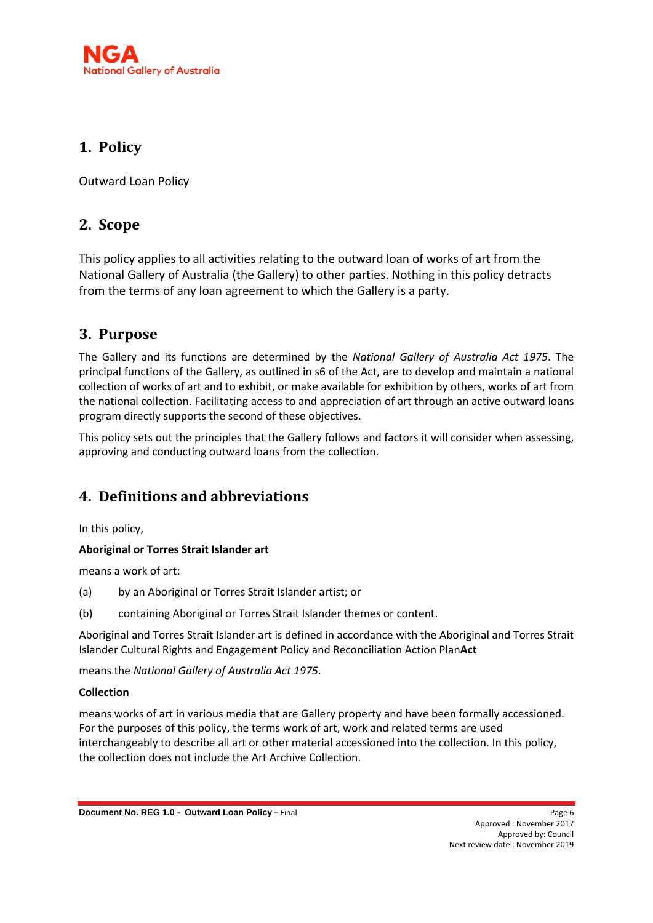

## <span id="page-5-0"></span>**1. Policy**

Outward Loan Policy

## <span id="page-5-1"></span>**2. Scope**

This policy applies to all activities relating to the outward loan of works of art from the National Gallery of Australia (the Gallery) to other parties. Nothing in this policy detracts from the terms of any loan agreement to which the Gallery is a party.

## <span id="page-5-2"></span>**3. Purpose**

The Gallery and its functions are determined by the *National Gallery of Australia Act 1975*. The principal functions of the Gallery, as outlined in s6 of the Act, are to develop and maintain a national collection of works of art and to exhibit, or make available for exhibition by others, works of art from the national collection. Facilitating access to and appreciation of art through an active outward loans program directly supports the second of these objectives.

This policy sets out the principles that the Gallery follows and factors it will consider when assessing, approving and conducting outward loans from the collection.

## <span id="page-5-3"></span>**4. Definitions and abbreviations**

In this policy,

#### **Aboriginal or Torres Strait Islander art**

means a work of art:

- (a) by an Aboriginal or Torres Strait Islander artist; or
- (b) containing Aboriginal or Torres Strait Islander themes or content.

Aboriginal and Torres Strait Islander art is defined in accordance with the Aboriginal and Torres Strait Islander Cultural Rights and Engagement Policy and Reconciliation Action Plan**Act** 

means the *National Gallery of Australia Act 1975*.

#### **Collection**

means works of art in various media that are Gallery property and have been formally accessioned. For the purposes of this policy, the terms work of art, work and related terms are used interchangeably to describe all art or other material accessioned into the collection. In this policy, the collection does not include the Art Archive Collection.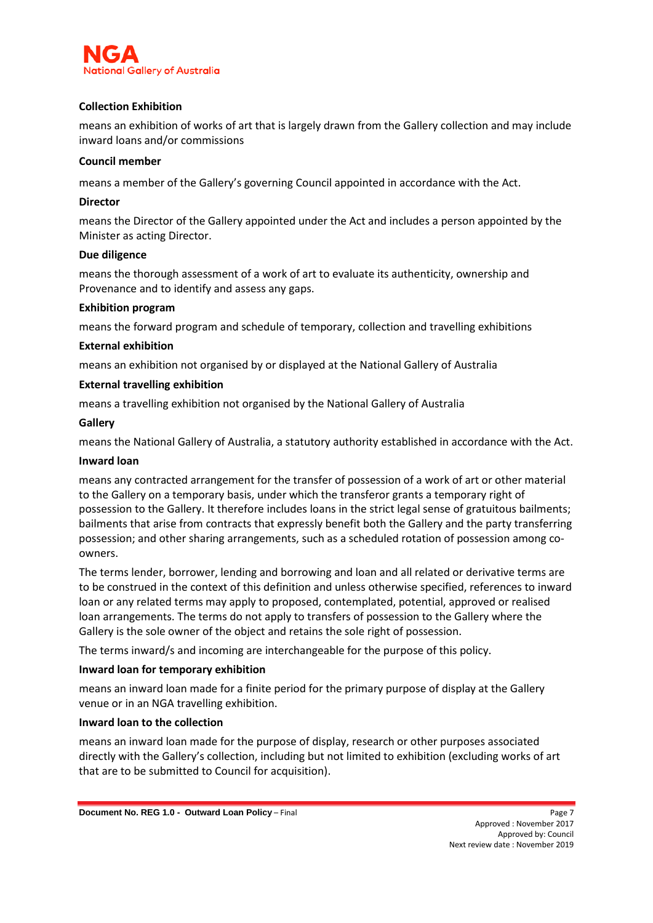

#### **Collection Exhibition**

means an exhibition of works of art that is largely drawn from the Gallery collection and may include inward loans and/or commissions

#### **Council member**

means a member of the Gallery's governing Council appointed in accordance with the Act.

#### **Director**

means the Director of the Gallery appointed under the Act and includes a person appointed by the Minister as acting Director.

#### **Due diligence**

means the thorough assessment of a work of art to evaluate its authenticity, ownership and Provenance and to identify and assess any gaps.

#### **Exhibition program**

means the forward program and schedule of temporary, collection and travelling exhibitions

#### **External exhibition**

means an exhibition not organised by or displayed at the National Gallery of Australia

#### **External travelling exhibition**

means a travelling exhibition not organised by the National Gallery of Australia

#### **Gallery**

means the National Gallery of Australia, a statutory authority established in accordance with the Act.

#### **Inward loan**

means any contracted arrangement for the transfer of possession of a work of art or other material to the Gallery on a temporary basis, under which the transferor grants a temporary right of possession to the Gallery. It therefore includes loans in the strict legal sense of gratuitous bailments; bailments that arise from contracts that expressly benefit both the Gallery and the party transferring possession; and other sharing arrangements, such as a scheduled rotation of possession among coowners.

The terms lender, borrower, lending and borrowing and loan and all related or derivative terms are to be construed in the context of this definition and unless otherwise specified, references to inward loan or any related terms may apply to proposed, contemplated, potential, approved or realised loan arrangements. The terms do not apply to transfers of possession to the Gallery where the Gallery is the sole owner of the object and retains the sole right of possession.

The terms inward/s and incoming are interchangeable for the purpose of this policy.

#### **Inward loan for temporary exhibition**

means an inward loan made for a finite period for the primary purpose of display at the Gallery venue or in an NGA travelling exhibition.

#### **Inward loan to the collection**

means an inward loan made for the purpose of display, research or other purposes associated directly with the Gallery's collection, including but not limited to exhibition (excluding works of art that are to be submitted to Council for acquisition).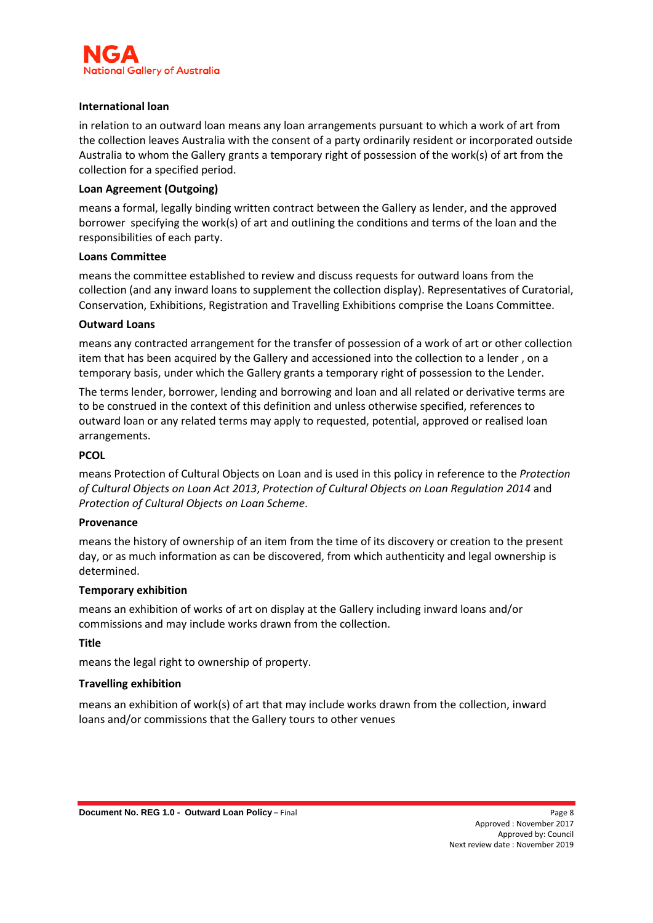

#### **International loan**

in relation to an outward loan means any loan arrangements pursuant to which a work of art from the collection leaves Australia with the consent of a party ordinarily resident or incorporated outside Australia to whom the Gallery grants a temporary right of possession of the work(s) of art from the collection for a specified period.

#### **Loan Agreement (Outgoing)**

means a formal, legally binding written contract between the Gallery as lender, and the approved borrower specifying the work(s) of art and outlining the conditions and terms of the loan and the responsibilities of each party.

#### **Loans Committee**

means the committee established to review and discuss requests for outward loans from the collection (and any inward loans to supplement the collection display). Representatives of Curatorial, Conservation, Exhibitions, Registration and Travelling Exhibitions comprise the Loans Committee.

#### **Outward Loans**

means any contracted arrangement for the transfer of possession of a work of art or other collection item that has been acquired by the Gallery and accessioned into the collection to a lender , on a temporary basis, under which the Gallery grants a temporary right of possession to the Lender.

The terms lender, borrower, lending and borrowing and loan and all related or derivative terms are to be construed in the context of this definition and unless otherwise specified, references to outward loan or any related terms may apply to requested, potential, approved or realised loan arrangements.

#### **PCOL**

means Protection of Cultural Objects on Loan and is used in this policy in reference to the *Protection of Cultural Objects on Loan Act 2013*, *Protection of Cultural Objects on Loan Regulation 2014* and *Protection of Cultural Objects on Loan Scheme*.

#### **Provenance**

means the history of ownership of an item from the time of its discovery or creation to the present day, or as much information as can be discovered, from which authenticity and legal ownership is determined.

#### **Temporary exhibition**

means an exhibition of works of art on display at the Gallery including inward loans and/or commissions and may include works drawn from the collection.

#### **Title**

means the legal right to ownership of property.

#### **Travelling exhibition**

means an exhibition of work(s) of art that may include works drawn from the collection, inward loans and/or commissions that the Gallery tours to other venues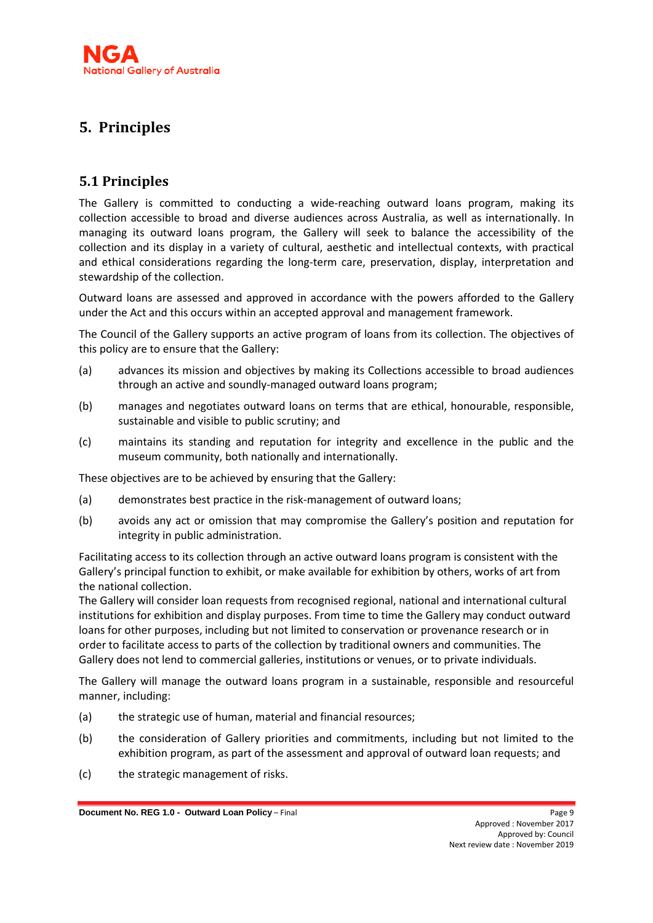## <span id="page-8-0"></span>**5. Principles**

## <span id="page-8-1"></span>**5.1 Principles**

The Gallery is committed to conducting a wide-reaching outward loans program, making its collection accessible to broad and diverse audiences across Australia, as well as internationally. In managing its outward loans program, the Gallery will seek to balance the accessibility of the collection and its display in a variety of cultural, aesthetic and intellectual contexts, with practical and ethical considerations regarding the long-term care, preservation, display, interpretation and stewardship of the collection.

Outward loans are assessed and approved in accordance with the powers afforded to the Gallery under the Act and this occurs within an accepted approval and management framework.

The Council of the Gallery supports an active program of loans from its collection. The objectives of this policy are to ensure that the Gallery:

- (a) advances its mission and objectives by making its Collections accessible to broad audiences through an active and soundly-managed outward loans program;
- (b) manages and negotiates outward loans on terms that are ethical, honourable, responsible, sustainable and visible to public scrutiny; and
- (c) maintains its standing and reputation for integrity and excellence in the public and the museum community, both nationally and internationally.

These objectives are to be achieved by ensuring that the Gallery:

- (a) demonstrates best practice in the risk-management of outward loans;
- (b) avoids any act or omission that may compromise the Gallery's position and reputation for integrity in public administration.

Facilitating access to its collection through an active outward loans program is consistent with the Gallery's principal function to exhibit, or make available for exhibition by others, works of art from the national collection.

The Gallery will consider loan requests from recognised regional, national and international cultural institutions for exhibition and display purposes. From time to time the Gallery may conduct outward loans for other purposes, including but not limited to conservation or provenance research or in order to facilitate access to parts of the collection by traditional owners and communities. The Gallery does not lend to commercial galleries, institutions or venues, or to private individuals.

The Gallery will manage the outward loans program in a sustainable, responsible and resourceful manner, including:

- (a) the strategic use of human, material and financial resources;
- (b) the consideration of Gallery priorities and commitments, including but not limited to the exhibition program, as part of the assessment and approval of outward loan requests; and
- (c) the strategic management of risks.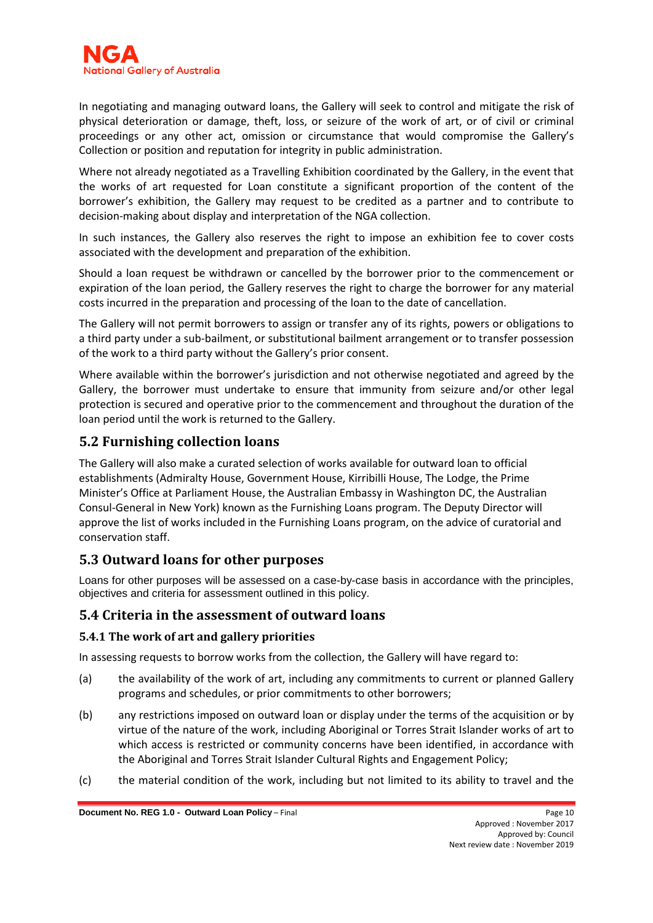In negotiating and managing outward loans, the Gallery will seek to control and mitigate the risk of physical deterioration or damage, theft, loss, or seizure of the work of art, or of civil or criminal proceedings or any other act, omission or circumstance that would compromise the Gallery's Collection or position and reputation for integrity in public administration.

Where not already negotiated as a Travelling Exhibition coordinated by the Gallery, in the event that the works of art requested for Loan constitute a significant proportion of the content of the borrower's exhibition, the Gallery may request to be credited as a partner and to contribute to decision-making about display and interpretation of the NGA collection.

In such instances, the Gallery also reserves the right to impose an exhibition fee to cover costs associated with the development and preparation of the exhibition.

Should a loan request be withdrawn or cancelled by the borrower prior to the commencement or expiration of the loan period, the Gallery reserves the right to charge the borrower for any material costs incurred in the preparation and processing of the loan to the date of cancellation.

The Gallery will not permit borrowers to assign or transfer any of its rights, powers or obligations to a third party under a sub-bailment, or substitutional bailment arrangement or to transfer possession of the work to a third party without the Gallery's prior consent.

Where available within the borrower's jurisdiction and not otherwise negotiated and agreed by the Gallery, the borrower must undertake to ensure that immunity from seizure and/or other legal protection is secured and operative prior to the commencement and throughout the duration of the loan period until the work is returned to the Gallery.

## <span id="page-9-0"></span>**5.2 Furnishing collection loans**

The Gallery will also make a curated selection of works available for outward loan to official establishments (Admiralty House, Government House, Kirribilli House, The Lodge, the Prime Minister's Office at Parliament House, the Australian Embassy in Washington DC, the Australian Consul-General in New York) known as the Furnishing Loans program. The Deputy Director will approve the list of works included in the Furnishing Loans program, on the advice of curatorial and conservation staff.

## <span id="page-9-1"></span>**5.3 Outward loans for other purposes**

Loans for other purposes will be assessed on a case-by-case basis in accordance with the principles, objectives and criteria for assessment outlined in this policy.

## <span id="page-9-2"></span>**5.4 Criteria in the assessment of outward loans**

## <span id="page-9-3"></span>**5.4.1 The work of art and gallery priorities**

In assessing requests to borrow works from the collection, the Gallery will have regard to:

- (a) the availability of the work of art, including any commitments to current or planned Gallery programs and schedules, or prior commitments to other borrowers;
- (b) any restrictions imposed on outward loan or display under the terms of the acquisition or by virtue of the nature of the work, including Aboriginal or Torres Strait Islander works of art to which access is restricted or community concerns have been identified, in accordance with the Aboriginal and Torres Strait Islander Cultural Rights and Engagement Policy;
- (c) the material condition of the work, including but not limited to its ability to travel and the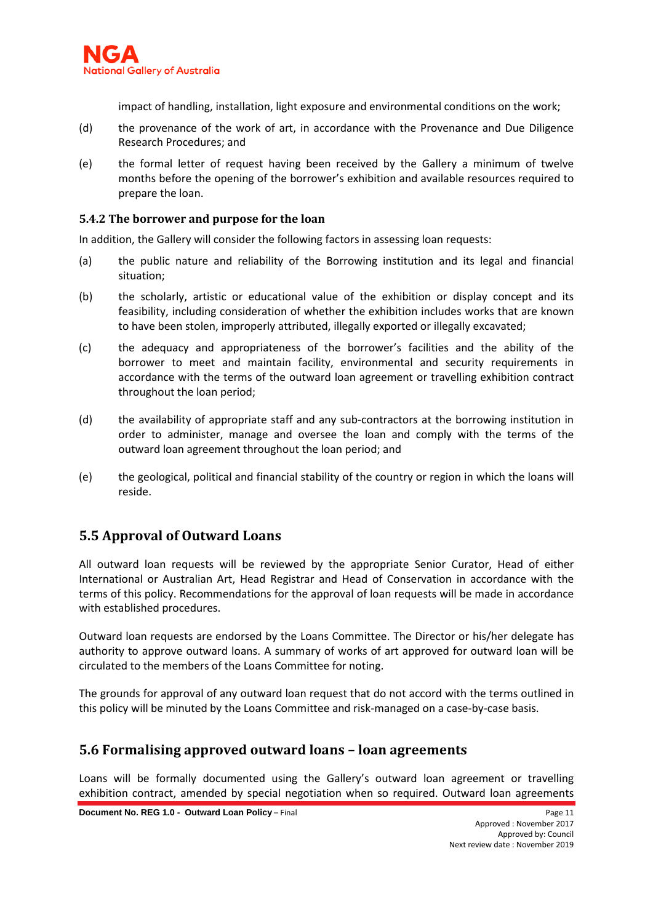

impact of handling, installation, light exposure and environmental conditions on the work;

- (d) the provenance of the work of art, in accordance with the Provenance and Due Diligence Research Procedures; and
- (e) the formal letter of request having been received by the Gallery a minimum of twelve months before the opening of the borrower's exhibition and available resources required to prepare the loan.

#### <span id="page-10-0"></span>**5.4.2 The borrower and purpose for the loan**

In addition, the Gallery will consider the following factors in assessing loan requests:

- (a) the public nature and reliability of the Borrowing institution and its legal and financial situation;
- (b) the scholarly, artistic or educational value of the exhibition or display concept and its feasibility, including consideration of whether the exhibition includes works that are known to have been stolen, improperly attributed, illegally exported or illegally excavated;
- (c) the adequacy and appropriateness of the borrower's facilities and the ability of the borrower to meet and maintain facility, environmental and security requirements in accordance with the terms of the outward loan agreement or travelling exhibition contract throughout the loan period;
- (d) the availability of appropriate staff and any sub-contractors at the borrowing institution in order to administer, manage and oversee the loan and comply with the terms of the outward loan agreement throughout the loan period; and
- (e) the geological, political and financial stability of the country or region in which the loans will reside.

## <span id="page-10-1"></span>**5.5 Approval of Outward Loans**

All outward loan requests will be reviewed by the appropriate Senior Curator, Head of either International or Australian Art, Head Registrar and Head of Conservation in accordance with the terms of this policy. Recommendations for the approval of loan requests will be made in accordance with established procedures.

Outward loan requests are endorsed by the Loans Committee. The Director or his/her delegate has authority to approve outward loans. A summary of works of art approved for outward loan will be circulated to the members of the Loans Committee for noting.

The grounds for approval of any outward loan request that do not accord with the terms outlined in this policy will be minuted by the Loans Committee and risk-managed on a case-by-case basis.

## <span id="page-10-2"></span>**5.6 Formalising approved outward loans – loan agreements**

Loans will be formally documented using the Gallery's outward loan agreement or travelling exhibition contract, amended by special negotiation when so required. Outward loan agreements

**Document No. REG 1.0 - Outward Loan Policy – Final Page 11 Page 11**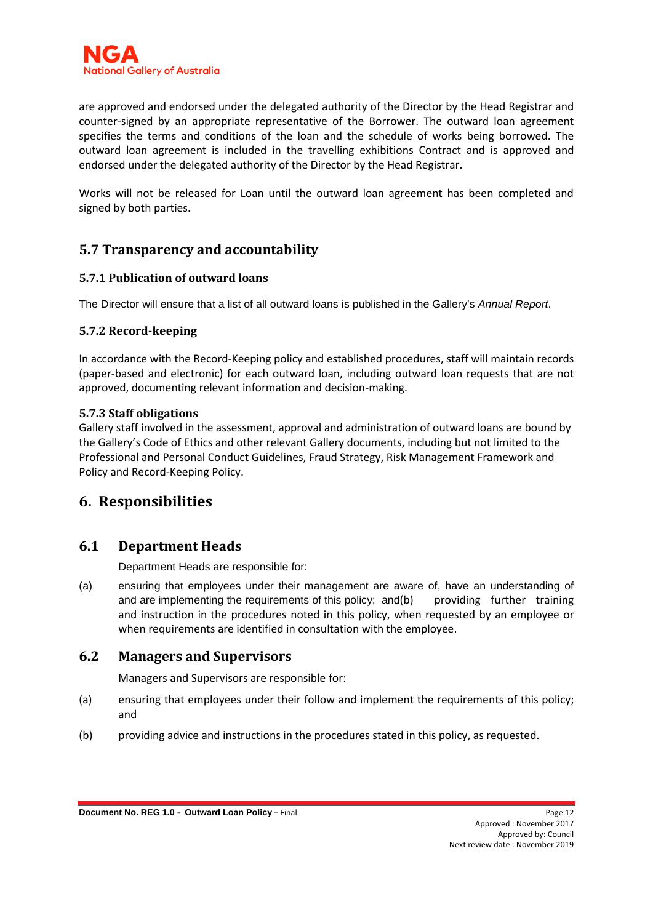

are approved and endorsed under the delegated authority of the Director by the Head Registrar and counter-signed by an appropriate representative of the Borrower. The outward loan agreement specifies the terms and conditions of the loan and the schedule of works being borrowed. The outward loan agreement is included in the travelling exhibitions Contract and is approved and endorsed under the delegated authority of the Director by the Head Registrar.

Works will not be released for Loan until the outward loan agreement has been completed and signed by both parties.

## <span id="page-11-0"></span>**5.7 Transparency and accountability**

#### <span id="page-11-1"></span>**5.7.1 Publication of outward loans**

<span id="page-11-2"></span>The Director will ensure that a list of all outward loans is published in the Gallery's *Annual Report*.

#### **5.7.2 Record-keeping**

In accordance with the Record-Keeping policy and established procedures, staff will maintain records (paper-based and electronic) for each outward loan, including outward loan requests that are not approved, documenting relevant information and decision-making.

#### <span id="page-11-3"></span>**5.7.3 Staff obligations**

Gallery staff involved in the assessment, approval and administration of outward loans are bound by the Gallery's Code of Ethics and other relevant Gallery documents, including but not limited to the Professional and Personal Conduct Guidelines, Fraud Strategy, Risk Management Framework and Policy and Record-Keeping Policy.

## **6. Responsibilities**

## <span id="page-11-5"></span>**6.1 Department Heads**

<span id="page-11-4"></span>Department Heads are responsible for:

(a) ensuring that employees under their management are aware of, have an understanding of and are implementing the requirements of this policy; and(b) providing further training and instruction in the procedures noted in this policy, when requested by an employee or when requirements are identified in consultation with the employee.

## **6.2 Managers and Supervisors**

<span id="page-11-6"></span>Managers and Supervisors are responsible for:

- (a) ensuring that employees under their follow and implement the requirements of this policy; and
- (b) providing advice and instructions in the procedures stated in this policy, as requested.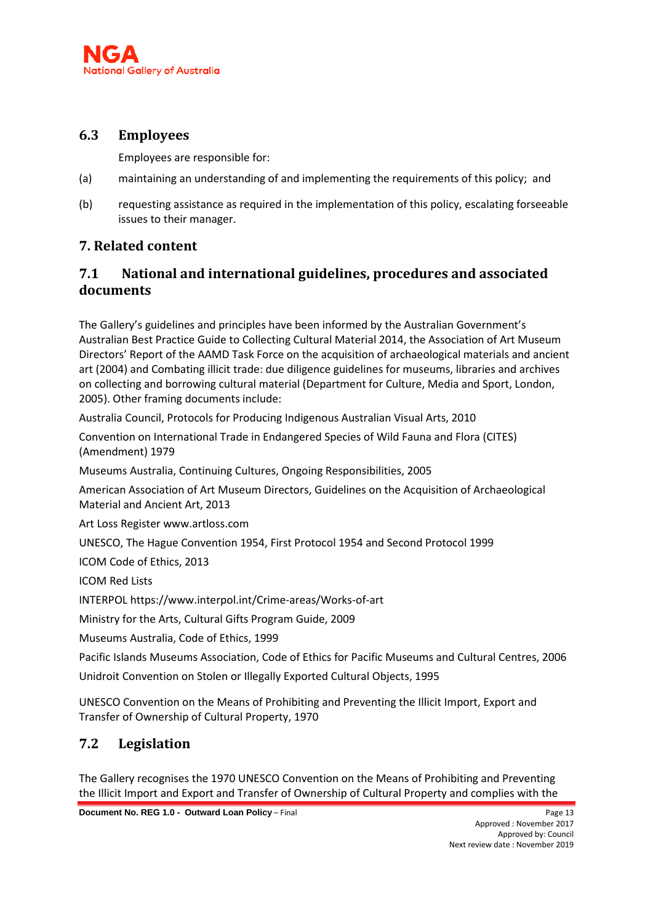## **6.3 Employees**

<span id="page-12-0"></span>Employees are responsible for:

- (a) maintaining an understanding of and implementing the requirements of this policy; and
- (b) requesting assistance as required in the implementation of this policy, escalating forseeable issues to their manager.

## **7. Related content**

## <span id="page-12-1"></span>**7.1 National and international guidelines, procedures and associated documents**

The Gallery's guidelines and principles have been informed by the Australian Government's Australian Best Practice Guide to Collecting Cultural Material 2014, the Association of Art Museum Directors' Report of the AAMD Task Force on the acquisition of archaeological materials and ancient art (2004) and Combating illicit trade: due diligence guidelines for museums, libraries and archives on collecting and borrowing cultural material (Department for Culture, Media and Sport, London, 2005). Other framing documents include:

Australia Council, Protocols for Producing Indigenous Australian Visual Arts, 2010

Convention on International Trade in Endangered Species of Wild Fauna and Flora (CITES) (Amendment) 1979

Museums Australia, Continuing Cultures, Ongoing Responsibilities, 2005

American Association of Art Museum Directors, Guidelines on the Acquisition of Archaeological Material and Ancient Art, 2013

Art Loss Register www.artloss.com

UNESCO, The Hague Convention 1954, First Protocol 1954 and Second Protocol 1999

ICOM Code of Ethics, 2013

ICOM Red Lists

INTERPOL https://www.interpol.int/Crime-areas/Works-of-art

Ministry for the Arts, Cultural Gifts Program Guide, 2009

Museums Australia, Code of Ethics, 1999

Pacific Islands Museums Association, Code of Ethics for Pacific Museums and Cultural Centres, 2006 Unidroit Convention on Stolen or Illegally Exported Cultural Objects, 1995

<span id="page-12-2"></span>UNESCO Convention on the Means of Prohibiting and Preventing the Illicit Import, Export and Transfer of Ownership of Cultural Property, 1970

## **7.2 Legislation**

The Gallery recognises the 1970 UNESCO Convention on the Means of Prohibiting and Preventing the Illicit Import and Export and Transfer of Ownership of Cultural Property and complies with the

**Document No. REG 1.0 - Outward Loan Policy – Final Page 13 Page 13 Page 13**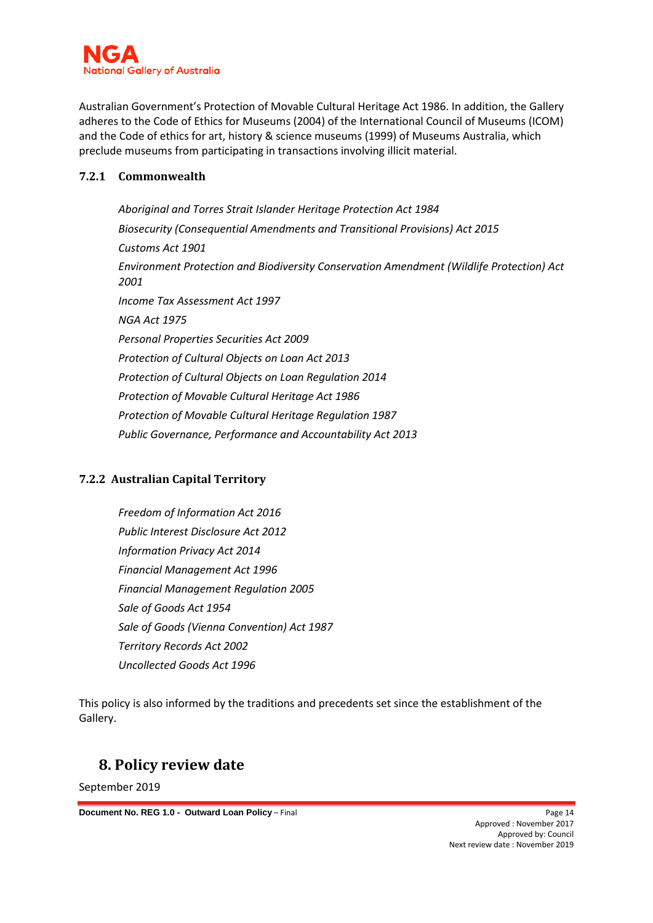

Australian Government's Protection of Movable Cultural Heritage Act 1986. In addition, the Gallery adheres to the Code of Ethics for Museums (2004) of the International Council of Museums (ICOM) and the Code of ethics for art, history & science museums (1999) of Museums Australia, which preclude museums from participating in transactions involving illicit material.

#### <span id="page-13-0"></span>**7.2.1 Commonwealth**

*Aboriginal and Torres Strait Islander Heritage Protection Act 1984 Biosecurity (Consequential Amendments and Transitional Provisions) Act 2015 Customs Act 1901 Environment Protection and Biodiversity Conservation Amendment (Wildlife Protection) Act 2001 Income Tax Assessment Act 1997 NGA Act 1975 Personal Properties Securities Act 2009 Protection of Cultural Objects on Loan Act 2013 Protection of Cultural Objects on Loan Regulation 2014 Protection of Movable Cultural Heritage Act 1986 Protection of Movable Cultural Heritage Regulation 1987 Public Governance, Performance and Accountability Act 2013*

## <span id="page-13-1"></span>**7.2.2 Australian Capital Territory**

*Freedom of Information Act 2016 Public Interest Disclosure Act 2012 Information Privacy Act 2014 Financial Management Act 1996 Financial Management Regulation 2005 Sale of Goods Act 1954 Sale of Goods (Vienna Convention) Act 1987 Territory Records Act 2002 Uncollected Goods Act 1996* 

This policy is also informed by the traditions and precedents set since the establishment of the Gallery.

## <span id="page-13-2"></span>**8. Policy review date**

September 2019

**Document No. REG 1.0 - Outward Loan Policy – Final Page 14 Page 14**